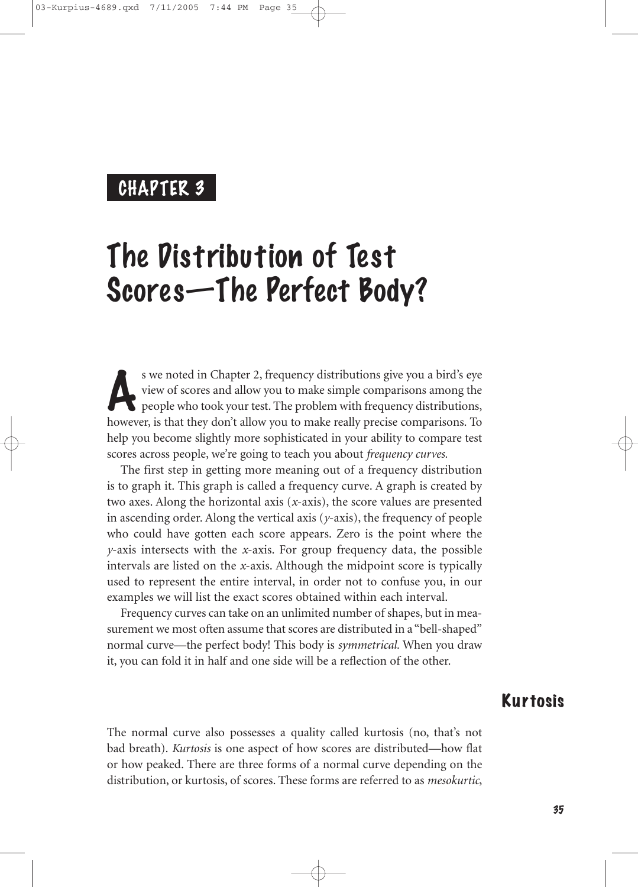# CHAPTER 3

# The Distribution of Test Scores—The Perfect Body?

s we noted in Chapter 2, frequency distributions give you a bird's eye view of scores and allow you to make simple comparisons among the people who took your test. The problem with frequency distributions, view of scores and allow you to make simple comparisons among the people who took your test. The problem with frequency distributions, however, is that they don't allow you to make really precise comparisons. To help you become slightly more sophisticated in your ability to compare test scores across people, we're going to teach you about *frequency curves.*

The first step in getting more meaning out of a frequency distribution is to graph it. This graph is called a frequency curve. A graph is created by two axes. Along the horizontal axis (*x*-axis), the score values are presented in ascending order. Along the vertical axis (*y*-axis), the frequency of people who could have gotten each score appears. Zero is the point where the *y*-axis intersects with the *x*-axis. For group frequency data, the possible intervals are listed on the *x*-axis. Although the midpoint score is typically used to represent the entire interval, in order not to confuse you, in our examples we will list the exact scores obtained within each interval.

Frequency curves can take on an unlimited number of shapes, but in measurement we most often assume that scores are distributed in a "bell-shaped" normal curve—the perfect body! This body is *symmetrical.* When you draw it, you can fold it in half and one side will be a reflection of the other.

# **Kurtosis**

The normal curve also possesses a quality called kurtosis (no, that's not bad breath). *Kurtosis* is one aspect of how scores are distributed—how flat or how peaked. There are three forms of a normal curve depending on the distribution, or kurtosis, of scores. These forms are referred to as *mesokurtic*,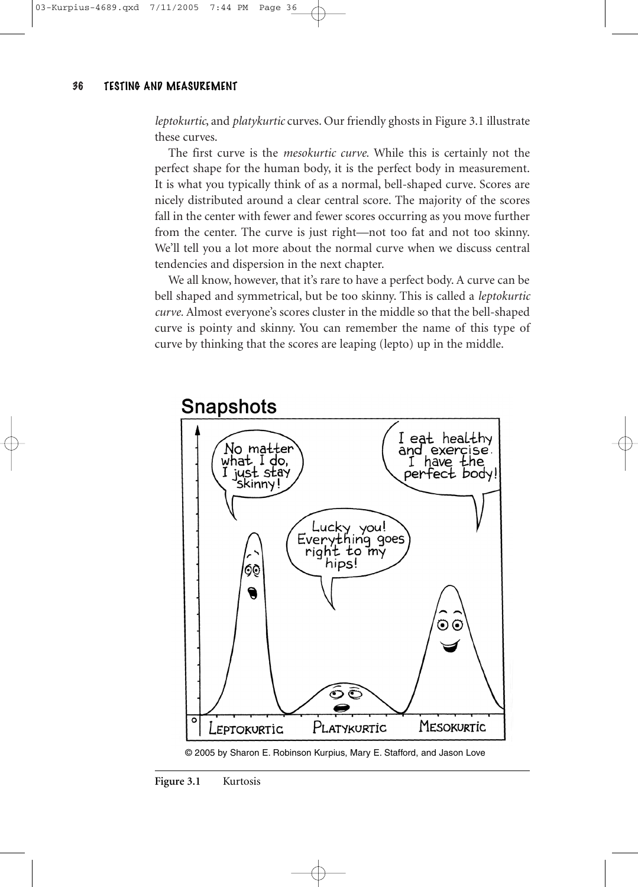*leptokurtic*, and *platykurtic* curves. Our friendly ghosts in Figure 3.1 illustrate these curves.

The first curve is the *mesokurtic curve.* While this is certainly not the perfect shape for the human body, it is the perfect body in measurement. It is what you typically think of as a normal, bell-shaped curve. Scores are nicely distributed around a clear central score. The majority of the scores fall in the center with fewer and fewer scores occurring as you move further from the center. The curve is just right—not too fat and not too skinny. We'll tell you a lot more about the normal curve when we discuss central tendencies and dispersion in the next chapter.

We all know, however, that it's rare to have a perfect body. A curve can be bell shaped and symmetrical, but be too skinny. This is called a *leptokurtic curve.* Almost everyone's scores cluster in the middle so that the bell-shaped curve is pointy and skinny. You can remember the name of this type of curve by thinking that the scores are leaping (lepto) up in the middle.



# Snapshots

© 2005 by Sharon E. Robinson Kurpius, Mary E. Stafford, and Jason Love

**Figure 3.1** Kurtosis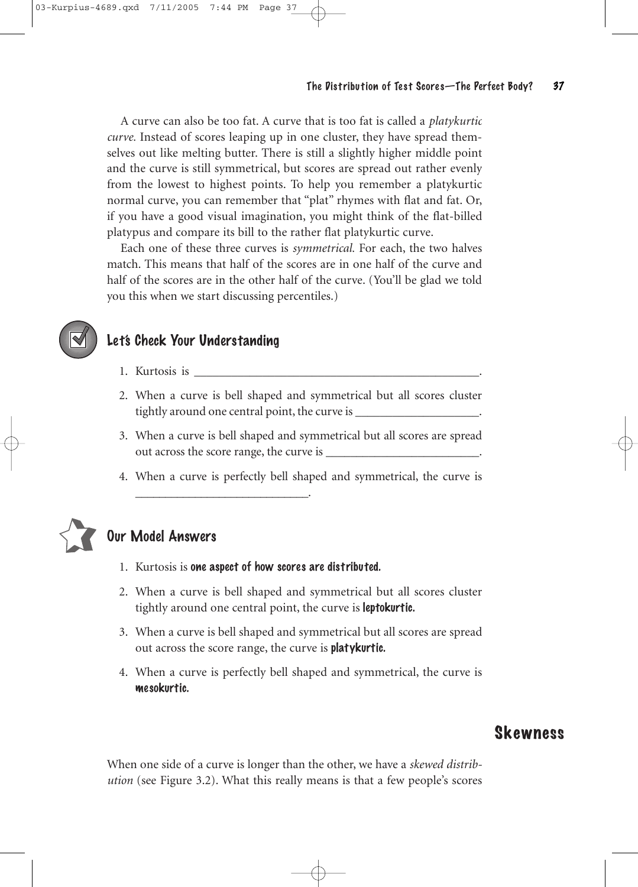#### The Distribution of Test Scores—The Perfect Body? 37

A curve can also be too fat. A curve that is too fat is called a *platykurtic curve.* Instead of scores leaping up in one cluster, they have spread themselves out like melting butter. There is still a slightly higher middle point and the curve is still symmetrical, but scores are spread out rather evenly from the lowest to highest points. To help you remember a platykurtic normal curve, you can remember that "plat" rhymes with flat and fat. Or, if you have a good visual imagination, you might think of the flat-billed platypus and compare its bill to the rather flat platykurtic curve.

Each one of these three curves is *symmetrical.* For each, the two halves match. This means that half of the scores are in one half of the curve and half of the scores are in the other half of the curve. (You'll be glad we told you this when we start discussing percentiles.)



### Let's Check Your Understanding

- 1. Kurtosis is  $\overline{\phantom{a}}$
- 2. When a curve is bell shaped and symmetrical but all scores cluster tightly around one central point, the curve is  $\equiv$
- 3. When a curve is bell shaped and symmetrical but all scores are spread out across the score range, the curve is
- 4. When a curve is perfectly bell shaped and symmetrical, the curve is



#### Our Model Answers

1. Kurtosis is one aspect of how scores are distributed.

\_\_\_\_\_\_\_\_\_\_\_\_\_\_\_\_\_\_\_\_\_\_\_\_\_\_\_\_\_.

- 2. When a curve is bell shaped and symmetrical but all scores cluster tightly around one central point, the curve is **leptokurtic**.
- 3. When a curve is bell shaped and symmetrical but all scores are spread out across the score range, the curve is **platykurtic**.
- 4. When a curve is perfectly bell shaped and symmetrical, the curve is mesokurtic.

## **Skewness**

When one side of a curve is longer than the other, we have a *skewed distribution* (see Figure 3.2). What this really means is that a few people's scores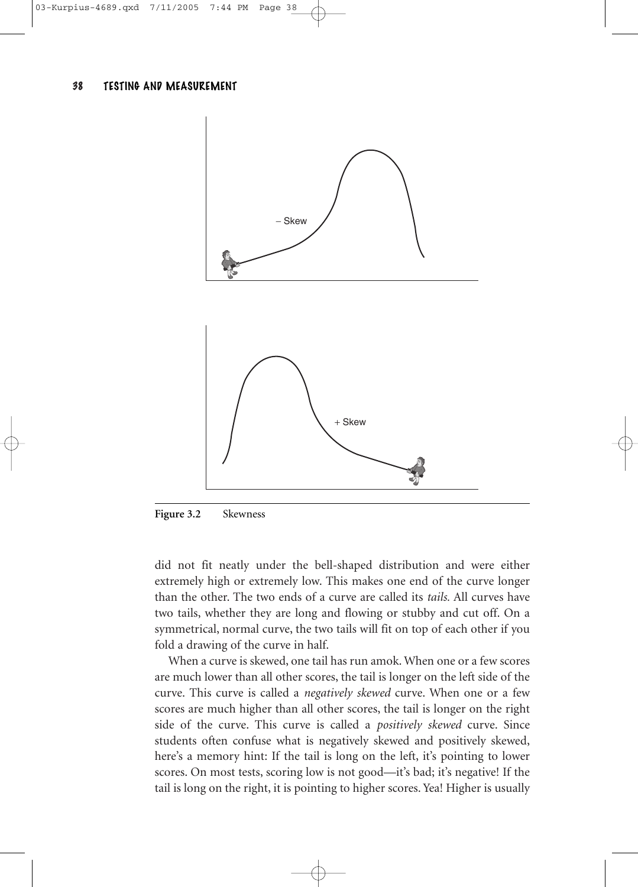

**Figure 3.2** Skewness

did not fit neatly under the bell-shaped distribution and were either extremely high or extremely low. This makes one end of the curve longer than the other. The two ends of a curve are called its *tails.* All curves have two tails, whether they are long and flowing or stubby and cut off. On a symmetrical, normal curve, the two tails will fit on top of each other if you fold a drawing of the curve in half.

When a curve is skewed, one tail has run amok. When one or a few scores are much lower than all other scores, the tail is longer on the left side of the curve. This curve is called a *negatively skewed* curve. When one or a few scores are much higher than all other scores, the tail is longer on the right side of the curve. This curve is called a *positively skewed* curve. Since students often confuse what is negatively skewed and positively skewed, here's a memory hint: If the tail is long on the left, it's pointing to lower scores. On most tests, scoring low is not good—it's bad; it's negative! If the tail is long on the right, it is pointing to higher scores. Yea! Higher is usually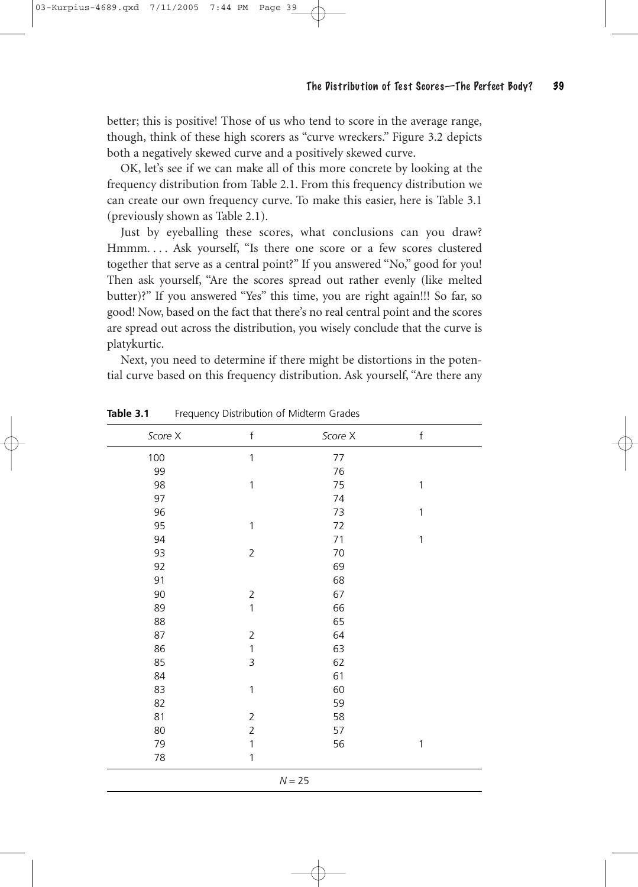#### The Distribution of Test Scores—The Perfect Body? 39

better; this is positive! Those of us who tend to score in the average range, though, think of these high scorers as "curve wreckers." Figure 3.2 depicts both a negatively skewed curve and a positively skewed curve.

OK, let's see if we can make all of this more concrete by looking at the frequency distribution from Table 2.1. From this frequency distribution we can create our own frequency curve. To make this easier, here is Table 3.1 (previously shown as Table 2.1).

Just by eyeballing these scores, what conclusions can you draw? Hmmm. . . . Ask yourself, "Is there one score or a few scores clustered together that serve as a central point?" If you answered "No," good for you! Then ask yourself, "Are the scores spread out rather evenly (like melted butter)?" If you answered "Yes" this time, you are right again!!! So far, so good! Now, based on the fact that there's no real central point and the scores are spread out across the distribution, you wisely conclude that the curve is platykurtic.

Next, you need to determine if there might be distortions in the potential curve based on this frequency distribution. Ask yourself, "Are there any

| Score X | $\mathsf f$    | Score X  | $\mathsf f$  |
|---------|----------------|----------|--------------|
| 100     | $\mathbf{1}$   | 77       |              |
| 99      |                | 76       |              |
| 98      | 1              | 75       | $\mathbf{1}$ |
| 97      |                | 74       |              |
| 96      |                | 73       | $\mathbf{1}$ |
| 95      | $\mathbf{1}$   | 72       |              |
| 94      |                | 71       | $\mathbf{1}$ |
| 93      | $\overline{2}$ | 70       |              |
| 92      |                | 69       |              |
| 91      |                | 68       |              |
| 90      | $\overline{2}$ | 67       |              |
| 89      | $\mathbf{1}$   | 66       |              |
| 88      |                | 65       |              |
| 87      | $\sqrt{2}$     | 64       |              |
| 86      | $\mathbf{1}$   | 63       |              |
| 85      | 3              | 62       |              |
| 84      |                | 61       |              |
| 83      | $\mathbf{1}$   | 60       |              |
| 82      |                | 59       |              |
| 81      | $\overline{2}$ | 58       |              |
| 80      | $\overline{2}$ | 57       |              |
| 79      | $\mathbf{1}$   | 56       | $\mathbf{1}$ |
| 78      | $\mathbf{1}$   |          |              |
|         |                | $N = 25$ |              |

Table 3.1 Frequency Distribution of Midterm Grades

03-Kurpius-4689.qxd 7/11/2005 7:44 PM Page 39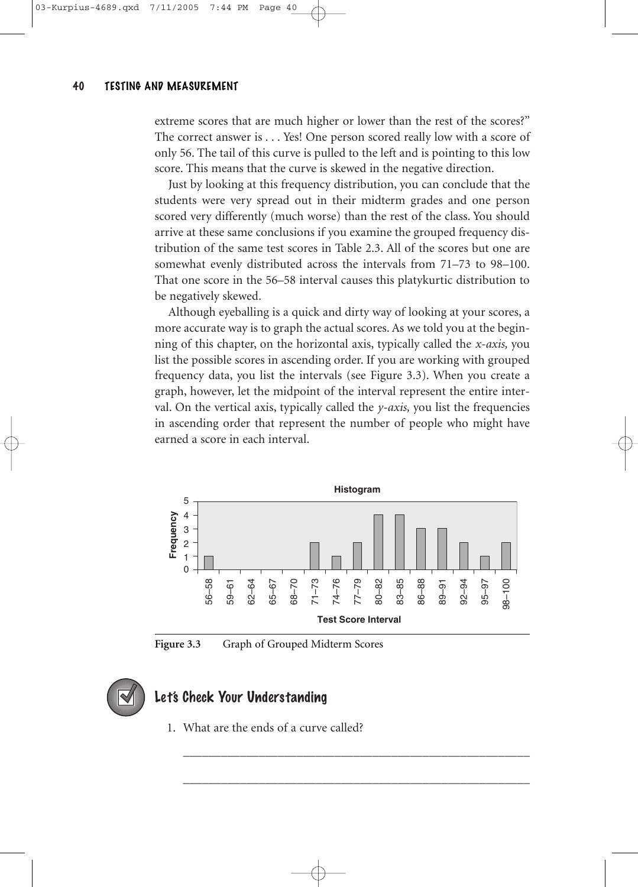extreme scores that are much higher or lower than the rest of the scores?" The correct answer is . . . Yes! One person scored really low with a score of only 56. The tail of this curve is pulled to the left and is pointing to this low score. This means that the curve is skewed in the negative direction.

Just by looking at this frequency distribution, you can conclude that the students were very spread out in their midterm grades and one person scored very differently (much worse) than the rest of the class. You should arrive at these same conclusions if you examine the grouped frequency distribution of the same test scores in Table 2.3. All of the scores but one are somewhat evenly distributed across the intervals from 71–73 to 98–100. That one score in the 56–58 interval causes this platykurtic distribution to be negatively skewed.

Although eyeballing is a quick and dirty way of looking at your scores, a more accurate way is to graph the actual scores. As we told you at the beginning of this chapter, on the horizontal axis, typically called the *x-axis,* you list the possible scores in ascending order. If you are working with grouped frequency data, you list the intervals (see Figure 3.3). When you create a graph, however, let the midpoint of the interval represent the entire interval. On the vertical axis, typically called the *y-axis,* you list the frequencies in ascending order that represent the number of people who might have earned a score in each interval.



\_\_\_\_\_\_\_\_\_\_\_\_\_\_\_\_\_\_\_\_\_\_\_\_\_\_\_\_\_\_\_\_\_\_\_\_\_\_\_\_\_\_\_\_\_\_\_\_\_\_\_\_\_\_\_

\_\_\_\_\_\_\_\_\_\_\_\_\_\_\_\_\_\_\_\_\_\_\_\_\_\_\_\_\_\_\_\_\_\_\_\_\_\_\_\_\_\_\_\_\_\_\_\_\_\_\_\_\_\_\_

**Figure 3.3** Graph of Grouped Midterm Scores

### Let's Check Your Understanding

1. What are the ends of a curve called?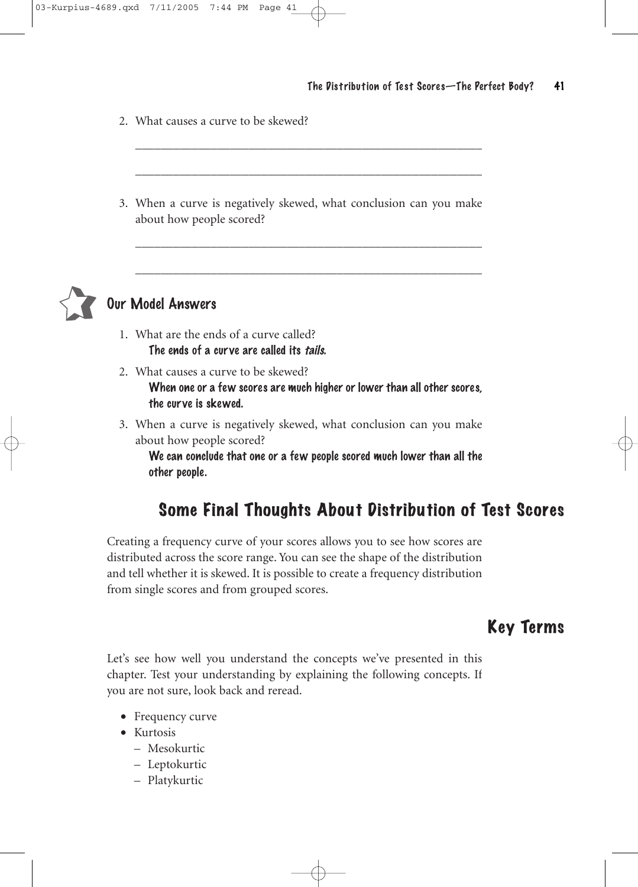#### The Distribution of Test Scores—The Perfect Body? 41

- 2. What causes a curve to be skewed?
- 3. When a curve is negatively skewed, what conclusion can you make about how people scored?

\_\_\_\_\_\_\_\_\_\_\_\_\_\_\_\_\_\_\_\_\_\_\_\_\_\_\_\_\_\_\_\_\_\_\_\_\_\_\_\_\_\_\_\_\_\_\_\_\_\_\_\_\_\_\_

\_\_\_\_\_\_\_\_\_\_\_\_\_\_\_\_\_\_\_\_\_\_\_\_\_\_\_\_\_\_\_\_\_\_\_\_\_\_\_\_\_\_\_\_\_\_\_\_\_\_\_\_\_\_\_

\_\_\_\_\_\_\_\_\_\_\_\_\_\_\_\_\_\_\_\_\_\_\_\_\_\_\_\_\_\_\_\_\_\_\_\_\_\_\_\_\_\_\_\_\_\_\_\_\_\_\_\_\_\_\_

\_\_\_\_\_\_\_\_\_\_\_\_\_\_\_\_\_\_\_\_\_\_\_\_\_\_\_\_\_\_\_\_\_\_\_\_\_\_\_\_\_\_\_\_\_\_\_\_\_\_\_\_\_\_\_



# Our Model Answers

- 1. What are the ends of a curve called? The ends of a curve are called its *tails*.
- 2. What causes a curve to be skewed? When one or a few scores are much higher or lower than all other scores, the curve is skewed.
- 3. When a curve is negatively skewed, what conclusion can you make about how people scored?

We can conclude that one or a few people scored much lower than all the other people.

# **Some Final Thoughts About Distribution of Test Scores**

Creating a frequency curve of your scores allows you to see how scores are distributed across the score range. You can see the shape of the distribution and tell whether it is skewed. It is possible to create a frequency distribution from single scores and from grouped scores.

# **Key Terms**

Let's see how well you understand the concepts we've presented in this chapter. Test your understanding by explaining the following concepts. If you are not sure, look back and reread.

- Frequency curve
- Kurtosis
	- Mesokurtic
	- Leptokurtic
	- Platykurtic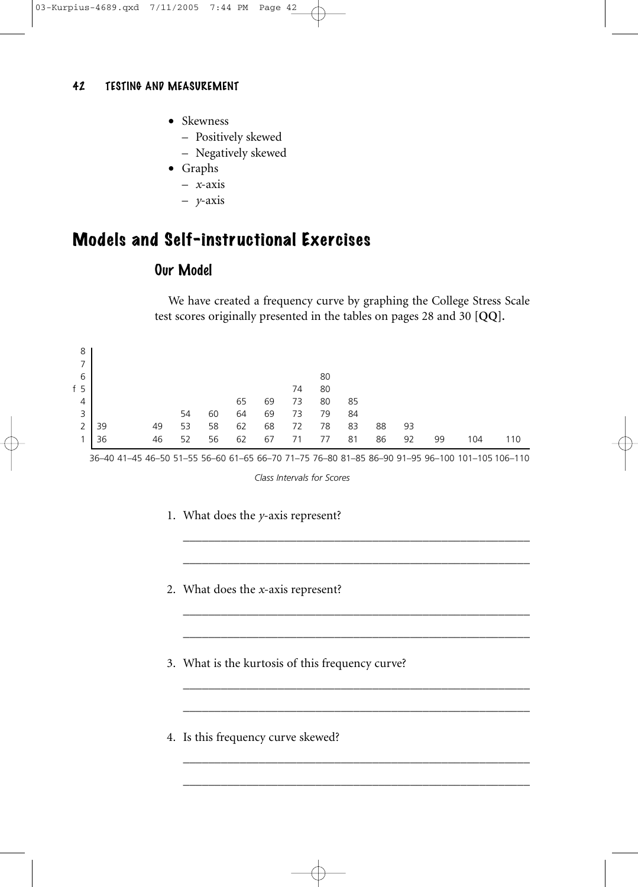- Skewness
	- Positively skewed
	- Negatively skewed
- Graphs
	- *x*-axis
	- *y*-axis

# **Models and Self-instructional Exercises**

## Our Model

We have created a frequency curve by graphing the College Stress Scale test scores originally presented in the tables on pages 28 and 30 **[QQ].**

\_\_\_\_\_\_\_\_\_\_\_\_\_\_\_\_\_\_\_\_\_\_\_\_\_\_\_\_\_\_\_\_\_\_\_\_\_\_\_\_\_\_\_\_\_\_\_\_\_\_\_\_\_\_\_

\_\_\_\_\_\_\_\_\_\_\_\_\_\_\_\_\_\_\_\_\_\_\_\_\_\_\_\_\_\_\_\_\_\_\_\_\_\_\_\_\_\_\_\_\_\_\_\_\_\_\_\_\_\_\_

\_\_\_\_\_\_\_\_\_\_\_\_\_\_\_\_\_\_\_\_\_\_\_\_\_\_\_\_\_\_\_\_\_\_\_\_\_\_\_\_\_\_\_\_\_\_\_\_\_\_\_\_\_\_\_

\_\_\_\_\_\_\_\_\_\_\_\_\_\_\_\_\_\_\_\_\_\_\_\_\_\_\_\_\_\_\_\_\_\_\_\_\_\_\_\_\_\_\_\_\_\_\_\_\_\_\_\_\_\_\_

\_\_\_\_\_\_\_\_\_\_\_\_\_\_\_\_\_\_\_\_\_\_\_\_\_\_\_\_\_\_\_\_\_\_\_\_\_\_\_\_\_\_\_\_\_\_\_\_\_\_\_\_\_\_\_

\_\_\_\_\_\_\_\_\_\_\_\_\_\_\_\_\_\_\_\_\_\_\_\_\_\_\_\_\_\_\_\_\_\_\_\_\_\_\_\_\_\_\_\_\_\_\_\_\_\_\_\_\_\_\_

\_\_\_\_\_\_\_\_\_\_\_\_\_\_\_\_\_\_\_\_\_\_\_\_\_\_\_\_\_\_\_\_\_\_\_\_\_\_\_\_\_\_\_\_\_\_\_\_\_\_\_\_\_\_\_

\_\_\_\_\_\_\_\_\_\_\_\_\_\_\_\_\_\_\_\_\_\_\_\_\_\_\_\_\_\_\_\_\_\_\_\_\_\_\_\_\_\_\_\_\_\_\_\_\_\_\_\_\_\_\_

| 8              |      |    |    |    |    |    |    |    |    |    |    |    |     |     |
|----------------|------|----|----|----|----|----|----|----|----|----|----|----|-----|-----|
| 7              |      |    |    |    |    |    |    |    |    |    |    |    |     |     |
| 6              |      |    |    |    |    |    |    | 80 |    |    |    |    |     |     |
| f <sub>5</sub> |      |    |    |    |    |    | 74 | 80 |    |    |    |    |     |     |
| $\overline{4}$ |      |    |    |    | 65 | 69 | 73 | 80 | 85 |    |    |    |     |     |
| 3              |      |    | 54 | 60 | 64 | 69 | 73 | 79 | 84 |    |    |    |     |     |
| 2              | l 39 | 49 | 53 | 58 | 62 | 68 | 72 | 78 | 83 | 88 | 93 |    |     |     |
|                | 36   | 46 | 52 | 56 | 62 | 67 | 71 | 77 | 81 | 86 | 92 | 99 | 104 | 110 |

36–40 41–45 46–50 51–55 56–60 61–65 66–70 71–75 76–80 81–85 86–90 91–95 96–100 101–105 106–110

*Class Intervals for Scores*

- 1. What does the *y*-axis represent?
- 2. What does the *x*-axis represent?
- 3. What is the kurtosis of this frequency curve?
- 4. Is this frequency curve skewed?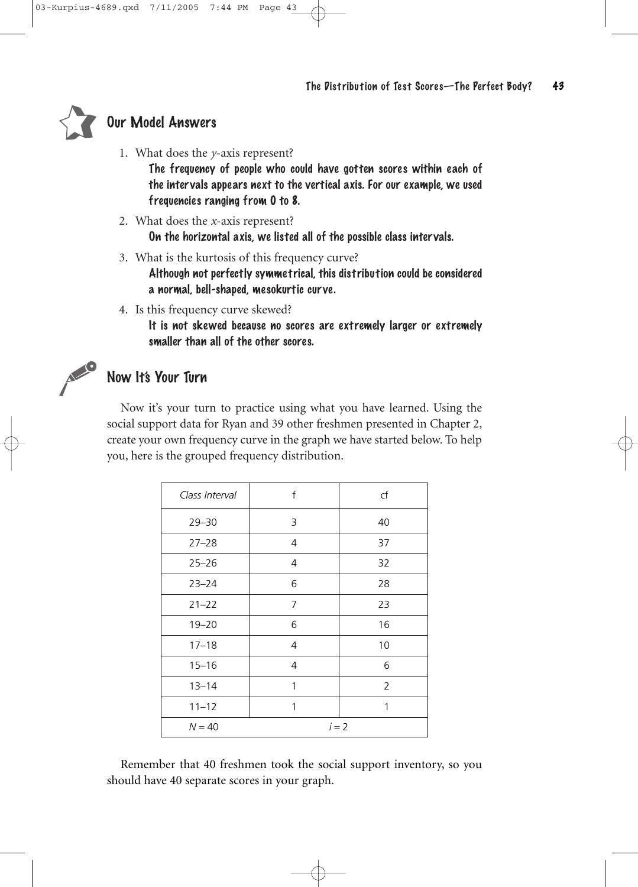

# Our Model Answers

- 1. What does the *y*-axis represent? The frequency of people who could have gotten scores within each of the intervals appears next to the vertical axis. For our example, we used frequencies ranging from 0 to 8.
- 2. What does the *x*-axis represent? On the horizontal axis, we listed all of the possible class intervals.
- 3. What is the kurtosis of this frequency curve? Although not perfectly symmetrical, this distribution could be considered a normal, bell-shaped, mesokurtic curve.
- 4. Is this frequency curve skewed?

It is not skewed because no scores are extremely larger or extremely smaller than all of the other scores.

# Now It's Your Turn

Now it's your turn to practice using what you have learned. Using the social support data for Ryan and 39 other freshmen presented in Chapter 2, create your own frequency curve in the graph we have started below. To help you, here is the grouped frequency distribution.

| Class Interval | $\mathsf{f}$   | Cf |  |  |  |
|----------------|----------------|----|--|--|--|
| $29 - 30$      | 3              | 40 |  |  |  |
| $27 - 28$      | 4              | 37 |  |  |  |
| $25 - 26$      | $\overline{4}$ | 32 |  |  |  |
| $23 - 24$      | 6              | 28 |  |  |  |
| $21 - 22$      | 7              | 23 |  |  |  |
| $19 - 20$      | 6              | 16 |  |  |  |
| $17 - 18$      | 4              | 10 |  |  |  |
| $15 - 16$      | 4              | 6  |  |  |  |
| $13 - 14$      | 1              | 2  |  |  |  |
| $11 - 12$      | 1              | 1  |  |  |  |
| $N = 40$       | $i = 2$        |    |  |  |  |

Remember that 40 freshmen took the social support inventory, so you should have 40 separate scores in your graph.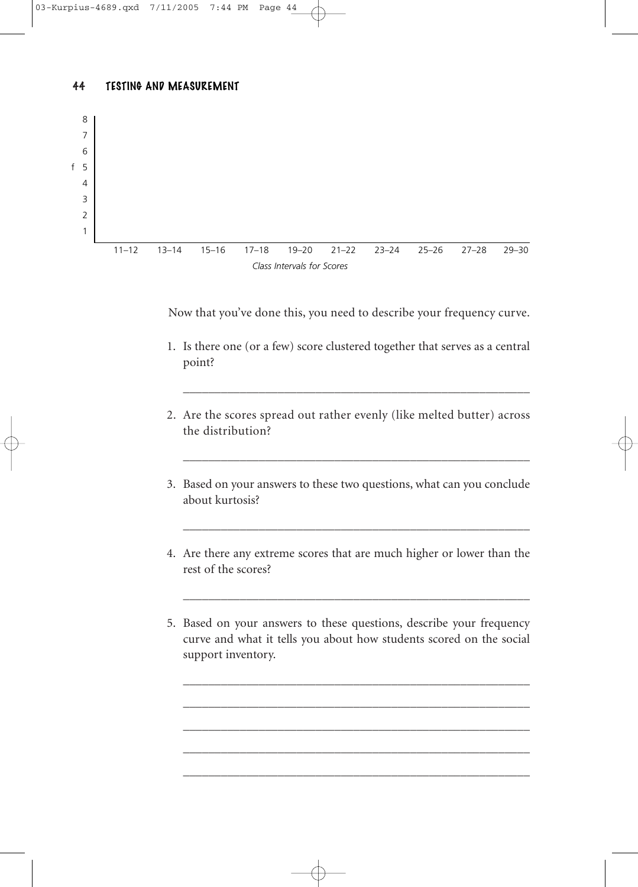

Now that you've done this, you need to describe your frequency curve.

- 1. Is there one (or a few) score clustered together that serves as a central point?
- 2. Are the scores spread out rather evenly (like melted butter) across the distribution?

\_\_\_\_\_\_\_\_\_\_\_\_\_\_\_\_\_\_\_\_\_\_\_\_\_\_\_\_\_\_\_\_\_\_\_\_\_\_\_\_\_\_\_\_\_\_\_\_\_\_\_\_\_\_\_

\_\_\_\_\_\_\_\_\_\_\_\_\_\_\_\_\_\_\_\_\_\_\_\_\_\_\_\_\_\_\_\_\_\_\_\_\_\_\_\_\_\_\_\_\_\_\_\_\_\_\_\_\_\_\_

\_\_\_\_\_\_\_\_\_\_\_\_\_\_\_\_\_\_\_\_\_\_\_\_\_\_\_\_\_\_\_\_\_\_\_\_\_\_\_\_\_\_\_\_\_\_\_\_\_\_\_\_\_\_\_

\_\_\_\_\_\_\_\_\_\_\_\_\_\_\_\_\_\_\_\_\_\_\_\_\_\_\_\_\_\_\_\_\_\_\_\_\_\_\_\_\_\_\_\_\_\_\_\_\_\_\_\_\_\_\_

- 3. Based on your answers to these two questions, what can you conclude about kurtosis?
- 4. Are there any extreme scores that are much higher or lower than the rest of the scores?
- 5. Based on your answers to these questions, describe your frequency curve and what it tells you about how students scored on the social support inventory.

\_\_\_\_\_\_\_\_\_\_\_\_\_\_\_\_\_\_\_\_\_\_\_\_\_\_\_\_\_\_\_\_\_\_\_\_\_\_\_\_\_\_\_\_\_\_\_\_\_\_\_\_\_\_\_

\_\_\_\_\_\_\_\_\_\_\_\_\_\_\_\_\_\_\_\_\_\_\_\_\_\_\_\_\_\_\_\_\_\_\_\_\_\_\_\_\_\_\_\_\_\_\_\_\_\_\_\_\_\_\_

\_\_\_\_\_\_\_\_\_\_\_\_\_\_\_\_\_\_\_\_\_\_\_\_\_\_\_\_\_\_\_\_\_\_\_\_\_\_\_\_\_\_\_\_\_\_\_\_\_\_\_\_\_\_\_

\_\_\_\_\_\_\_\_\_\_\_\_\_\_\_\_\_\_\_\_\_\_\_\_\_\_\_\_\_\_\_\_\_\_\_\_\_\_\_\_\_\_\_\_\_\_\_\_\_\_\_\_\_\_\_

\_\_\_\_\_\_\_\_\_\_\_\_\_\_\_\_\_\_\_\_\_\_\_\_\_\_\_\_\_\_\_\_\_\_\_\_\_\_\_\_\_\_\_\_\_\_\_\_\_\_\_\_\_\_\_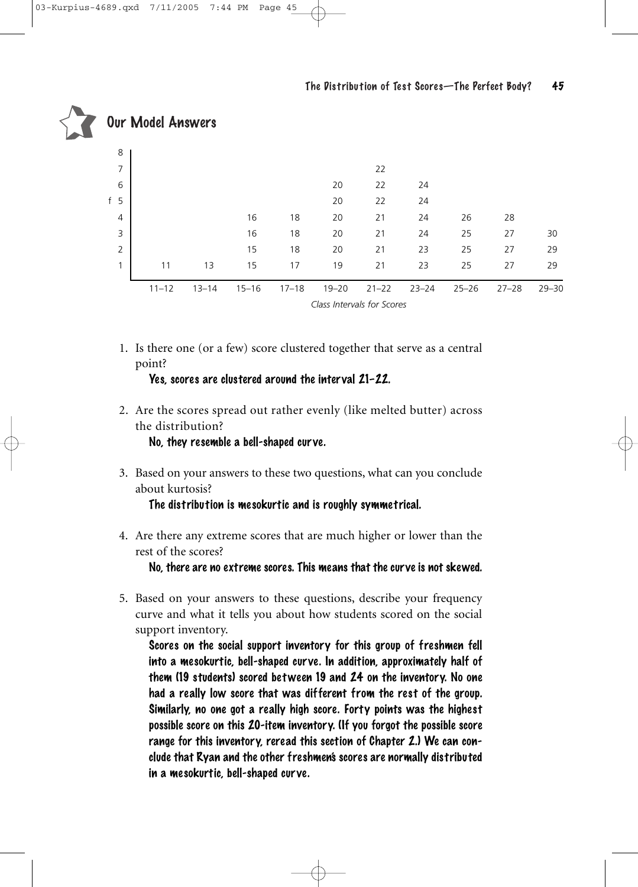

1. Is there one (or a few) score clustered together that serve as a central point?

Yes, scores are clustered around the interval 21–22.

2. Are the scores spread out rather evenly (like melted butter) across the distribution?

No, they resemble a bell-shaped curve.

3. Based on your answers to these two questions, what can you conclude about kurtosis?

The distribution is mesokurtic and is roughly symmetrical.

4. Are there any extreme scores that are much higher or lower than the rest of the scores?

No, there are no extreme scores. This means that the curve is not skewed.

5. Based on your answers to these questions, describe your frequency curve and what it tells you about how students scored on the social support inventory.

Scores on the social support inventory for this group of freshmen fell into a mesokurtic, bell-shaped curve. In addition, approximately half of them (19 students) scored bet ween 19 and 24 on the inventory. No one had a really low score that was different from the rest of the group. Similarly, no one got a really high score. Forty points was the highest possible score on this 20-item inventory. (If you forgot the possible score range for this inventory, reread this section of Chapter 2.) We can conclude that Ryan and the other freshmen's scores are normally distributed in a mesokurtic, bell-shaped curve.